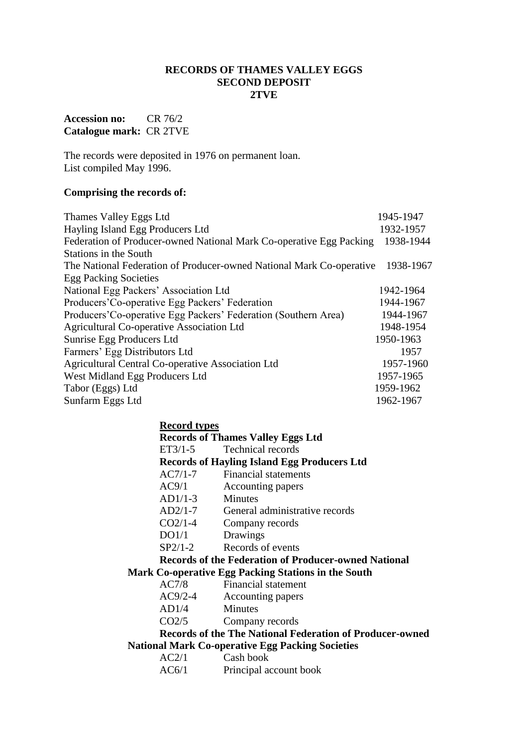#### **RECORDS OF THAMES VALLEY EGGS SECOND DEPOSIT 2TVE**

## **Accession no:** CR 76/2 **Catalogue mark:** CR 2TVE

The records were deposited in 1976 on permanent loan. List compiled May 1996.

## **Comprising the records of:**

| 1945-1947                                                                         |
|-----------------------------------------------------------------------------------|
| 1932-1957                                                                         |
| 1938-1944                                                                         |
|                                                                                   |
| The National Federation of Producer-owned National Mark Co-operative<br>1938-1967 |
|                                                                                   |
| 1942-1964                                                                         |
| 1944-1967                                                                         |
| 1944-1967                                                                         |
| 1948-1954                                                                         |
| 1950-1963                                                                         |
| 1957                                                                              |
| 1957-1960                                                                         |
| 1957-1965                                                                         |
| 1959-1962                                                                         |
| 1962-1967                                                                         |
|                                                                                   |

#### **Record types**

|                                                                 |           | <b>Records of Thames Valley Eggs Ltd</b>                    |
|-----------------------------------------------------------------|-----------|-------------------------------------------------------------|
|                                                                 | $ET3/1-5$ | <b>Technical records</b>                                    |
|                                                                 |           | <b>Records of Hayling Island Egg Producers Ltd</b>          |
|                                                                 |           | AC7/1-7 Financial statements                                |
|                                                                 | AC9/1     | Accounting papers                                           |
|                                                                 | $AD1/1-3$ | <b>Minutes</b>                                              |
|                                                                 | $AD2/1-7$ | General administrative records                              |
|                                                                 | $CO2/1-4$ | Company records                                             |
|                                                                 | DO1/1     | Drawings                                                    |
|                                                                 | $SP2/1-2$ | Records of events                                           |
|                                                                 |           | <b>Records of the Federation of Producer-owned National</b> |
|                                                                 |           | Mark Co-operative Egg Packing Stations in the South         |
|                                                                 |           | AC7/8 Financial statement                                   |
|                                                                 | $AC9/2-4$ | Accounting papers                                           |
|                                                                 | AD1/4     | <b>Minutes</b>                                              |
|                                                                 | CO2/5     | Company records                                             |
| <b>Records of the The National Federation of Producer-owned</b> |           |                                                             |
|                                                                 |           | <b>National Mark Co-operative Egg Packing Societies</b>     |
|                                                                 | AC2/1     | Cash book                                                   |
|                                                                 | AC6/1     | Principal account book                                      |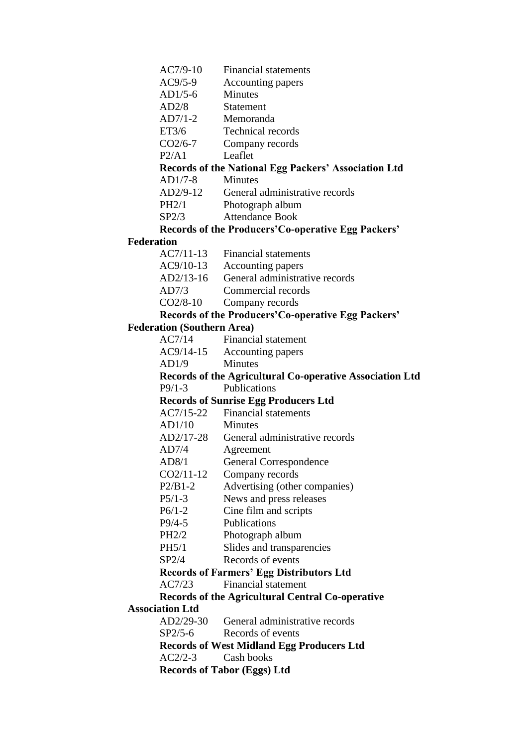- AC7/9-10 Financial statements
- AC9/5-9 Accounting papers
- AD1/5-6 Minutes
- AD2/8 Statement
- AD7/1-2 Memoranda
- ET3/6 Technical records
- CO2/6-7 Company records
- P2/A1 Leaflet

#### **Records of the National Egg Packers' Association Ltd**

AD1/7-8 Minutes

- AD2/9-12 General administrative records
- PH2/1 Photograph album
- SP2/3 Attendance Book

#### **Records of the Producers'Co-operative Egg Packers'**

#### **Federation**

- AC7/11-13 Financial statements
- AC9/10-13 Accounting papers
- AD2/13-16 General administrative records
- AD7/3 Commercial records
- CO2/8-10 Company records

#### **Records of the Producers'Co-operative Egg Packers'**

#### **Federation (Southern Area)**

- AC7/14 Financial statement
- AC9/14-15 Accounting papers
- AD1/9 Minutes

#### **Records of the Agricultural Co-operative Association Ltd** P9/1-3 Publications

#### **Records of Sunrise Egg Producers Ltd**

- AC7/15-22 Financial statements
- AD1/10 Minutes
- AD2/17-28 General administrative records
- AD7/4 Agreement
- AD8/1 General Correspondence
- CO2/11-12 Company records
- P2/B1-2 Advertising (other companies)
- P5/1-3 News and press releases
- P6/1-2 Cine film and scripts
- P9/4-5 Publications
- PH2/2 Photograph album
- PH5/1 Slides and transparencies
- SP2/4 Records of events

#### **Records of Farmers' Egg Distributors Ltd**

AC7/23 Financial statement

# **Records of the Agricultural Central Co-operative**

## **Association Ltd**

- AD2/29-30 General administrative records
- SP2/5-6 Records of events

## **Records of West Midland Egg Producers Ltd**

AC2/2-3 Cash books

#### **Records of Tabor (Eggs) Ltd**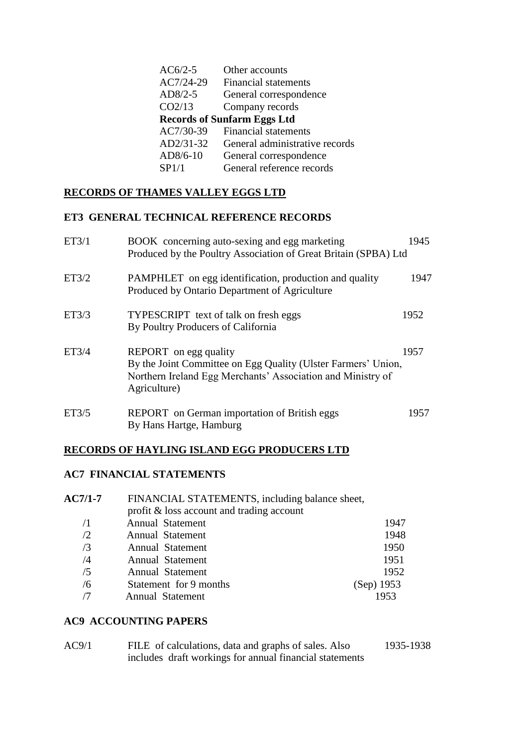| $AC6/2-5$ | Other accounts                     |
|-----------|------------------------------------|
| AC7/24-29 | <b>Financial statements</b>        |
| AD8/2-5   | General correspondence             |
| CO2/13    | Company records                    |
|           | <b>Records of Sunfarm Eggs Ltd</b> |
| AC7/30-39 | <b>Financial statements</b>        |
| AD2/31-32 | General administrative records     |
| AD8/6-10  | General correspondence             |
| SP1/1     | General reference records          |
|           |                                    |

## **RECORDS OF THAMES VALLEY EGGS LTD**

#### **ET3 GENERAL TECHNICAL REFERENCE RECORDS**

| ET3/1 | BOOK concerning auto-sexing and egg marketing<br>Produced by the Poultry Association of Great Britain (SPBA) Ltd                                                      | 1945 |
|-------|-----------------------------------------------------------------------------------------------------------------------------------------------------------------------|------|
| ET3/2 | PAMPHLET on egg identification, production and quality<br>Produced by Ontario Department of Agriculture                                                               | 1947 |
| ET3/3 | <b>TYPESCRIPT</b> text of talk on fresh eggs<br>By Poultry Producers of California                                                                                    | 1952 |
| ET3/4 | REPORT on egg quality<br>By the Joint Committee on Egg Quality (Ulster Farmers' Union,<br>Northern Ireland Egg Merchants' Association and Ministry of<br>Agriculture) | 1957 |
| ET3/5 | REPORT on German importation of British eggs<br>By Hans Hartge, Hamburg                                                                                               | 1957 |

#### **RECORDS OF HAYLING ISLAND EGG PRODUCERS LTD**

## **AC7 FINANCIAL STATEMENTS**

| $AC7/1-7$  | FINANCIAL STATEMENTS, including balance sheet, |            |
|------------|------------------------------------------------|------------|
|            | profit & loss account and trading account      |            |
| $\sqrt{1}$ | Annual Statement                               | 1947       |
| /2         | Annual Statement                               | 1948       |
| /3         | Annual Statement                               | 1950       |
| /4         | Annual Statement                               | 1951       |
| /5         | Annual Statement                               | 1952       |
| /6         | Statement for 9 months                         | (Sep) 1953 |
|            | Annual Statement                               | 1953       |

#### **AC9 ACCOUNTING PAPERS**

| AC9/1 | FILE of calculations, data and graphs of sales. Also    | 1935-1938 |
|-------|---------------------------------------------------------|-----------|
|       | includes draft workings for annual financial statements |           |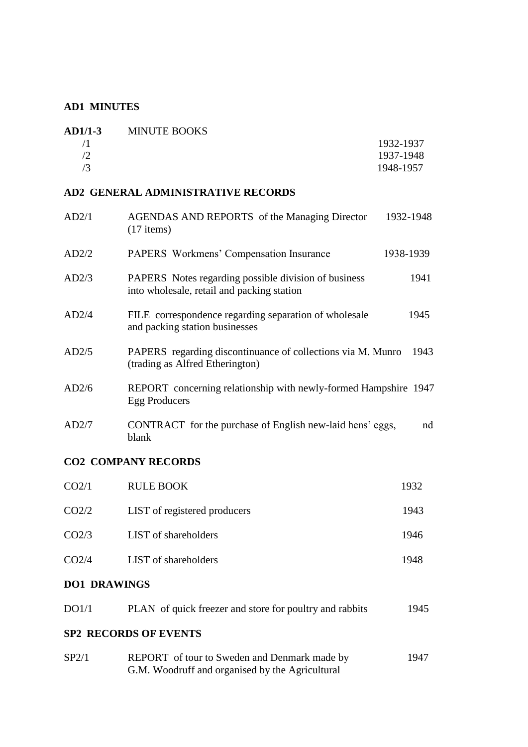## **AD1 MINUTES**

| $AD1/1-3$ | <b>MINUTE BOOKS</b> |           |
|-----------|---------------------|-----------|
|           |                     | 1932-1937 |
|           |                     | 1937-1948 |
|           |                     | 1948-1957 |

#### **AD2 GENERAL ADMINISTRATIVE RECORDS**

| AD2/1 | <b>AGENDAS AND REPORTS</b> of the Managing Director<br>$(17$ items)                                | 1932-1948 |      |
|-------|----------------------------------------------------------------------------------------------------|-----------|------|
| AD2/2 | <b>PAPERS</b> Workmens' Compensation Insurance                                                     | 1938-1939 |      |
| AD2/3 | PAPERS Notes regarding possible division of business<br>into wholesale, retail and packing station |           | 1941 |
| AD2/4 | FILE correspondence regarding separation of wholesale<br>and packing station businesses            | 1945      |      |
| AD2/5 | PAPERS regarding discontinuance of collections via M. Munro<br>(trading as Alfred Etherington)     |           | 1943 |
| AD2/6 | REPORT concerning relationship with newly-formed Hampshire 1947<br>Egg Producers                   |           |      |
| AD2/7 | CONTRACT for the purchase of English new-laid hens' eggs,<br>blank                                 |           | nd   |
|       |                                                                                                    |           |      |

## **CO2 COMPANY RECORDS**

| CO <sub>2/1</sub> | <b>RULE BOOK</b>             | 1932 |
|-------------------|------------------------------|------|
| CO <sub>2/2</sub> | LIST of registered producers | 1943 |
| CO <sub>2/3</sub> | LIST of shareholders         | 1946 |
| CO <sub>2/4</sub> | LIST of shareholders         | 1948 |
|                   |                              |      |

## **DO1 DRAWINGS**

| DO1/1 | PLAN of quick freezer and store for poultry and rabbits | 1945 |
|-------|---------------------------------------------------------|------|
|       | <b>SP2 RECORDS OF EVENTS</b>                            |      |
| SP2/1 | REPORT of tour to Sweden and Denmark made by            | 1947 |

G.M. Woodruff and organised by the Agricultural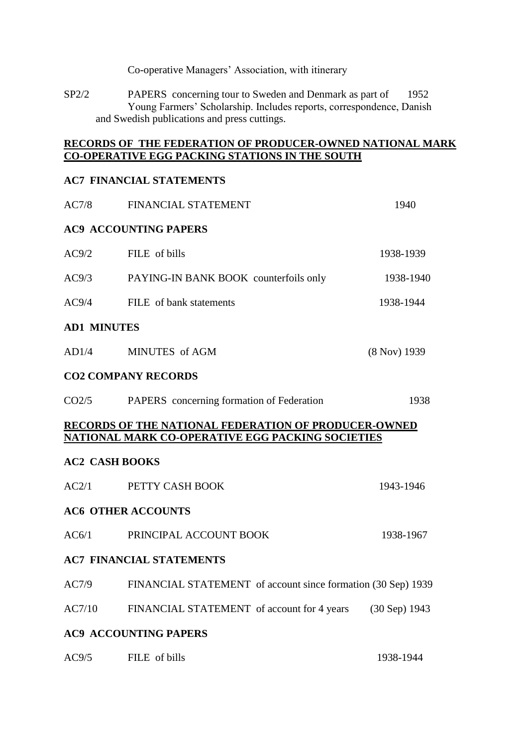Co-operative Managers' Association, with itinerary

SP2/2 PAPERS concerning tour to Sweden and Denmark as part of 1952 Young Farmers' Scholarship. Includes reports, correspondence, Danish and Swedish publications and press cuttings.

## **RECORDS OF THE FEDERATION OF PRODUCER-OWNED NATIONAL MARK CO-OPERATIVE EGG PACKING STATIONS IN THE SOUTH**

#### **AC7 FINANCIAL STATEMENTS**

| AC7/8              | FINANCIAL STATEMENT                                                                                             | 1940         |
|--------------------|-----------------------------------------------------------------------------------------------------------------|--------------|
|                    | <b>AC9 ACCOUNTING PAPERS</b>                                                                                    |              |
| AC9/2              | FILE of bills                                                                                                   | 1938-1939    |
| AC9/3              | PAYING-IN BANK BOOK counterfoils only                                                                           | 1938-1940    |
| AC9/4              | FILE of bank statements                                                                                         | 1938-1944    |
| <b>AD1 MINUTES</b> |                                                                                                                 |              |
| AD1/4              | MINUTES of AGM                                                                                                  | (8 Nov) 1939 |
|                    | <b>CO2 COMPANY RECORDS</b>                                                                                      |              |
| CO2/5              | PAPERS concerning formation of Federation                                                                       | 1938         |
|                    | RECORDS OF THE NATIONAL FEDERATION OF PRODUCER-OWNED<br><b>NATIONAL MARK CO-OPERATIVE EGG PACKING SOCIETIES</b> |              |
|                    | <b>AC2 CASH BOOKS</b>                                                                                           |              |
| AC2/1              | PETTY CASH BOOK                                                                                                 | 1943-1946    |
|                    | <b>AC6 OTHER ACCOUNTS</b>                                                                                       |              |
| AC6/1              | PRINCIPAL ACCOUNT BOOK                                                                                          | 1938-1967    |
|                    | <b>AC7 FINANCIAL STATEMENTS</b>                                                                                 |              |
| AC7/9              | FINANCIAL STATEMENT of account since formation (30 Sep) 1939                                                    |              |
| AC7/10             | FINANCIAL STATEMENT of account for 4 years (30 Sep) 1943                                                        |              |
|                    | <b>AC9 ACCOUNTING PAPERS</b>                                                                                    |              |
| AC9/5              | FILE of bills                                                                                                   | 1938-1944    |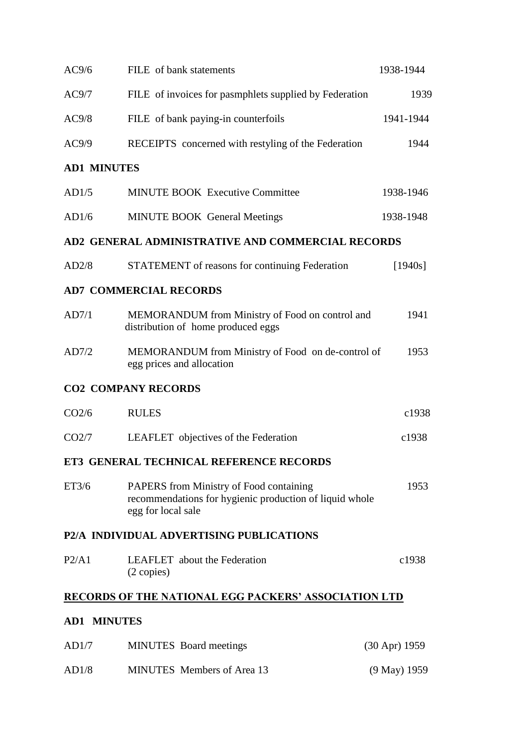| AC9/6              | FILE of bank statements                                                                                                         | 1938-1944       |
|--------------------|---------------------------------------------------------------------------------------------------------------------------------|-----------------|
| AC9/7              | FILE of invoices for pasmphlets supplied by Federation                                                                          | 1939            |
| AC9/8              | FILE of bank paying-in counterfoils                                                                                             | 1941-1944       |
| AC9/9              | RECEIPTS concerned with restyling of the Federation                                                                             | 1944            |
| <b>AD1 MINUTES</b> |                                                                                                                                 |                 |
| AD1/5              | <b>MINUTE BOOK Executive Committee</b>                                                                                          | 1938-1946       |
| AD1/6              | <b>MINUTE BOOK General Meetings</b>                                                                                             | 1938-1948       |
|                    | AD2 GENERAL ADMINISTRATIVE AND COMMERCIAL RECORDS                                                                               |                 |
| AD2/8              | STATEMENT of reasons for continuing Federation                                                                                  | [1940s]         |
|                    | <b>AD7 COMMERCIAL RECORDS</b>                                                                                                   |                 |
| AD7/1              | MEMORANDUM from Ministry of Food on control and<br>distribution of home produced eggs                                           | 1941            |
| AD7/2              | MEMORANDUM from Ministry of Food on de-control of<br>egg prices and allocation                                                  | 1953            |
|                    | <b>CO2 COMPANY RECORDS</b>                                                                                                      |                 |
| CO <sub>2/6</sub>  | <b>RULES</b>                                                                                                                    | c1938           |
| CO <sub>2</sub> /7 | LEAFLET objectives of the Federation                                                                                            | c1938           |
|                    | ET3 GENERAL TECHNICAL REFERENCE RECORDS                                                                                         |                 |
| ET3/6              | <b>PAPERS</b> from Ministry of Food containing<br>recommendations for hygienic production of liquid whole<br>egg for local sale | 1953            |
|                    | P2/A INDIVIDUAL ADVERTISING PUBLICATIONS                                                                                        |                 |
| P2/A1              | <b>LEAFLET</b> about the Federation<br>$(2 \text{ copies})$                                                                     | c1938           |
|                    | <b>RECORDS OF THE NATIONAL EGG PACKERS' ASSOCIATION LTD</b>                                                                     |                 |
| <b>AD1 MINUTES</b> |                                                                                                                                 |                 |
| AD1/7              | <b>MINUTES</b> Board meetings                                                                                                   | $(30$ Apr) 1959 |

AD1/8 MINUTES Members of Area 13 (9 May) 1959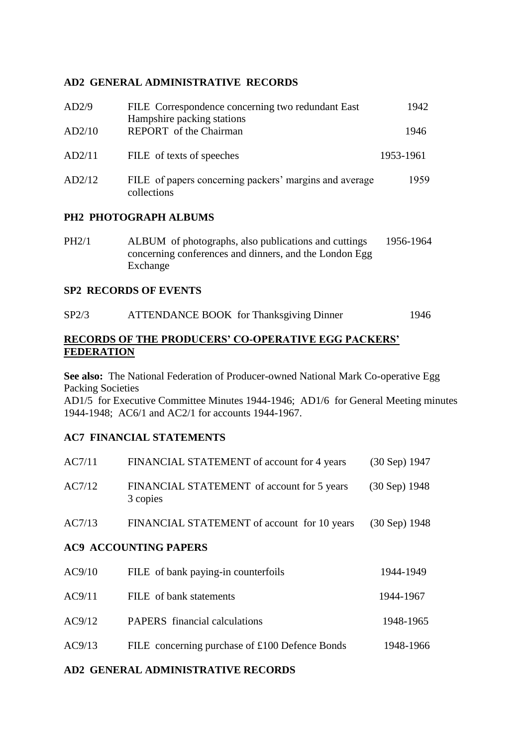#### **AD2 GENERAL ADMINISTRATIVE RECORDS**

| AD2/9  | FILE Correspondence concerning two redundant East<br>Hampshire packing stations | 1942      |
|--------|---------------------------------------------------------------------------------|-----------|
| AD2/10 | REPORT of the Chairman                                                          | 1946      |
| AD2/11 | FILE of texts of speeches                                                       | 1953-1961 |
| AD2/12 | FILE of papers concerning packers' margins and average<br>collections           | 1959      |

#### **PH2 PHOTOGRAPH ALBUMS**

PH2/1 ALBUM of photographs, also publications and cuttings 1956-1964 concerning conferences and dinners, and the London Egg Exchange

#### **SP2 RECORDS OF EVENTS**

| SP2/3 | <b>ATTENDANCE BOOK</b> for Thanksgiving Dinner | 1946 |
|-------|------------------------------------------------|------|
|       |                                                |      |

#### **RECORDS OF THE PRODUCERS' CO-OPERATIVE EGG PACKERS' FEDERATION**

**See also:** The National Federation of Producer-owned National Mark Co-operative Egg Packing Societies

AD1/5 for Executive Committee Minutes 1944-1946; AD1/6 for General Meeting minutes 1944-1948; AC6/1 and AC2/1 for accounts 1944-1967.

## **AC7 FINANCIAL STATEMENTS**

| AC7/11                       | FINANCIAL STATEMENT of account for 4 years             | (30 Sep) 1947 |
|------------------------------|--------------------------------------------------------|---------------|
| AC7/12                       | FINANCIAL STATEMENT of account for 5 years<br>3 copies | (30 Sep) 1948 |
| AC7/13                       | FINANCIAL STATEMENT of account for 10 years            | (30 Sep) 1948 |
| <b>AC9 ACCOUNTING PAPERS</b> |                                                        |               |
| AC9/10                       | FILE of bank paying-in counterfoils                    | 1944-1949     |
| AC9/11                       | FILE of bank statements                                | 1944-1967     |
| AC9/12                       | <b>PAPERS</b> financial calculations                   | 1948-1965     |
| AC9/13                       | FILE concerning purchase of £100 Defence Bonds         | 1948-1966     |

#### **AD2 GENERAL ADMINISTRATIVE RECORDS**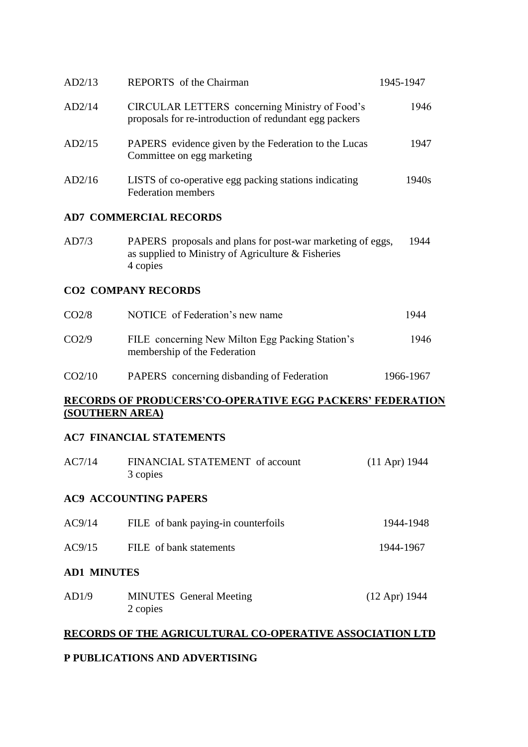| AD2/13 | <b>REPORTS</b> of the Chairman                                                                           | 1945-1947 |
|--------|----------------------------------------------------------------------------------------------------------|-----------|
| AD2/14 | CIRCULAR LETTERS concerning Ministry of Food's<br>proposals for re-introduction of redundant egg packers | 1946      |
| AD2/15 | PAPERS evidence given by the Federation to the Lucas<br>Committee on egg marketing                       | 1947      |
| AD2/16 | LISTS of co-operative egg packing stations indicating<br><b>Federation members</b>                       | 1940s     |

#### **AD7 COMMERCIAL RECORDS**

| AD7/3 | PAPERS proposals and plans for post-war marketing of eggs, | -1944 |
|-------|------------------------------------------------------------|-------|
|       | as supplied to Ministry of Agriculture & Fisheries         |       |
|       | 4 copies                                                   |       |

#### **CO2 COMPANY RECORDS**

| CO <sub>2</sub> /8 | NOTICE of Federation's new name                                                  | 1944      |
|--------------------|----------------------------------------------------------------------------------|-----------|
| CO <sub>2</sub> /9 | FILE concerning New Milton Egg Packing Station's<br>membership of the Federation | 1946      |
| CO <sub>2/10</sub> | PAPERS concerning disbanding of Federation                                       | 1966-1967 |

#### **RECORDS OF PRODUCERS'CO-OPERATIVE EGG PACKERS' FEDERATION (SOUTHERN AREA)**

#### **AC7 FINANCIAL STATEMENTS**

| AC7/14             | FINANCIAL STATEMENT of account<br>3 copies | $(11$ Apr) 1944 |
|--------------------|--------------------------------------------|-----------------|
|                    | <b>AC9 ACCOUNTING PAPERS</b>               |                 |
| AC9/14             | FILE of bank paying-in counterfoils        | 1944-1948       |
| AC9/15             | FILE of bank statements                    | 1944-1967       |
| <b>AD1 MINUTES</b> |                                            |                 |
| AD1/9              | <b>MINUTES</b> General Meeting<br>2 copies | $(12$ Apr) 1944 |

#### **RECORDS OF THE AGRICULTURAL CO-OPERATIVE ASSOCIATION LTD**

## **P PUBLICATIONS AND ADVERTISING**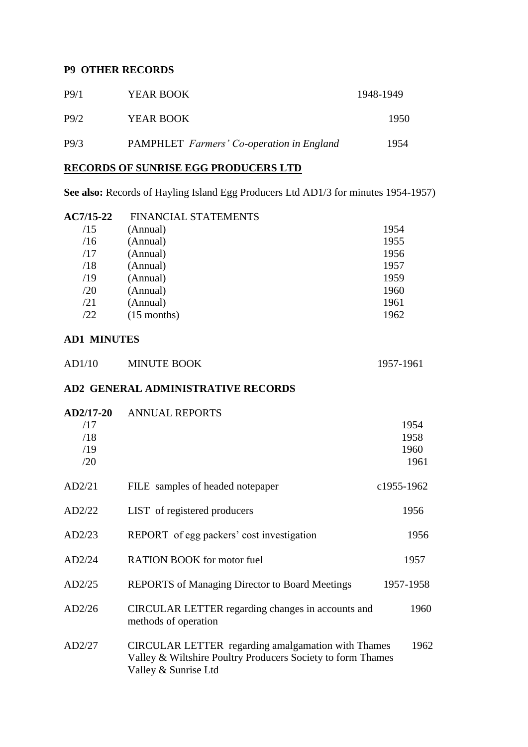#### **P9 OTHER RECORDS**

| P <sub>9/1</sub> | <b>YEAR BOOK</b>                                 | 1948-1949 |
|------------------|--------------------------------------------------|-----------|
| P9/2             | <b>YEAR BOOK</b>                                 | 1950      |
| P9/3             | <b>PAMPHLET</b> Farmers' Co-operation in England | 1954      |

## **RECORDS OF SUNRISE EGG PRODUCERS LTD**

**See also:** Records of Hayling Island Egg Producers Ltd AD1/3 for minutes 1954-1957)

| AC7/15-22 | <b>FINANCIAL STATEMENTS</b> |      |
|-----------|-----------------------------|------|
| /15       | (Annual)                    | 1954 |
| /16       | (Annual)                    | 1955 |
| /17       | (Annual)                    | 1956 |
| /18       | (Annual)                    | 1957 |
| /19       | (Annual)                    | 1959 |
| /20       | (Annual)                    | 1960 |
| /21       | (Annual)                    | 1961 |
| /22       | $(15$ months)               | 1962 |
|           |                             |      |

#### **AD1 MINUTES**

| AD1/10 | <b>MINUTE BOOK</b> | 1957-1961 |
|--------|--------------------|-----------|
|--------|--------------------|-----------|

#### **AD2 GENERAL ADMINISTRATIVE RECORDS**

| AD2/17-20 | <b>ANNUAL REPORTS</b>                                                                                                                            |            |
|-----------|--------------------------------------------------------------------------------------------------------------------------------------------------|------------|
| /17       |                                                                                                                                                  | 1954       |
| /18       |                                                                                                                                                  | 1958       |
| /19       |                                                                                                                                                  | 1960       |
| /20       |                                                                                                                                                  | 1961       |
| AD2/21    | FILE samples of headed notepaper                                                                                                                 | c1955-1962 |
| AD2/22    | LIST of registered producers                                                                                                                     | 1956       |
| AD2/23    | REPORT of egg packers' cost investigation                                                                                                        | 1956       |
| AD2/24    | <b>RATION BOOK</b> for motor fuel                                                                                                                | 1957       |
| AD2/25    | <b>REPORTS</b> of Managing Director to Board Meetings                                                                                            | 1957-1958  |
| AD2/26    | CIRCULAR LETTER regarding changes in accounts and<br>methods of operation                                                                        | 1960       |
| AD2/27    | <b>CIRCULAR LETTER</b> regarding amalgamation with Thames<br>Valley & Wiltshire Poultry Producers Society to form Thames<br>Valley & Sunrise Ltd | 1962       |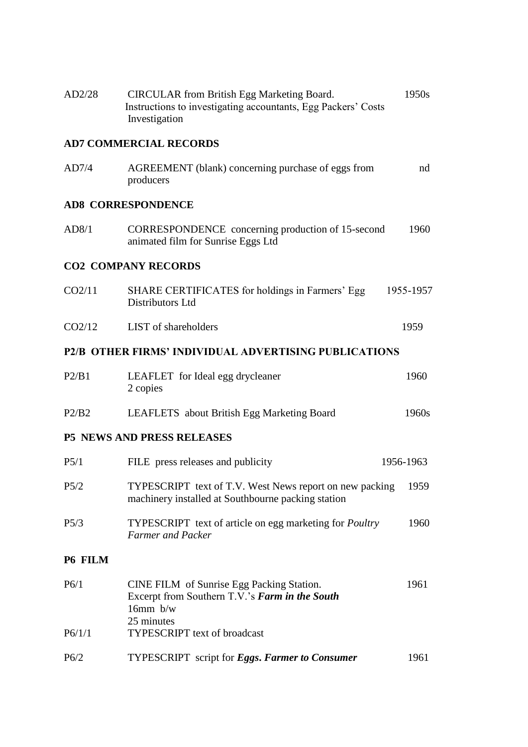| AD2/28  | <b>CIRCULAR</b> from British Egg Marketing Board.<br>Instructions to investigating accountants, Egg Packers' Costs<br>Investigation | 1950s     |
|---------|-------------------------------------------------------------------------------------------------------------------------------------|-----------|
|         | <b>AD7 COMMERCIAL RECORDS</b>                                                                                                       |           |
| AD7/4   | AGREEMENT (blank) concerning purchase of eggs from<br>producers                                                                     | nd        |
|         | <b>AD8 CORRESPONDENCE</b>                                                                                                           |           |
| AD8/1   | CORRESPONDENCE concerning production of 15-second<br>animated film for Sunrise Eggs Ltd                                             | 1960      |
|         | <b>CO2 COMPANY RECORDS</b>                                                                                                          |           |
| CO2/11  | SHARE CERTIFICATES for holdings in Farmers' Egg<br>Distributors Ltd                                                                 | 1955-1957 |
| CO2/12  | LIST of shareholders                                                                                                                | 1959      |
|         | P2/B OTHER FIRMS' INDIVIDUAL ADVERTISING PUBLICATIONS                                                                               |           |
| P2/B1   | LEAFLET for Ideal egg drycleaner<br>2 copies                                                                                        | 1960      |
| P2/B2   | LEAFLETS about British Egg Marketing Board                                                                                          | 1960s     |
|         | <b>P5 NEWS AND PRESS RELEASES</b>                                                                                                   |           |
| P5/1    | FILE press releases and publicity                                                                                                   | 1956-1963 |
| P5/2    | TYPESCRIPT text of T.V. West News report on new packing 1959<br>machinery installed at Southbourne packing station                  |           |
| P5/3    | TYPESCRIPT text of article on egg marketing for Poultry<br>Farmer and Packer                                                        | 1960      |
| P6 FILM |                                                                                                                                     |           |
| P6/1    | CINE FILM of Sunrise Egg Packing Station.<br>Excerpt from Southern T.V.'s Farm in the South<br>$16mm$ b/w<br>25 minutes             | 1961      |
| P6/1/1  | <b>TYPESCRIPT</b> text of broadcast                                                                                                 |           |
| P6/2    | <b>TYPESCRIPT</b> script for <b>Eggs. Farmer to Consumer</b>                                                                        | 1961      |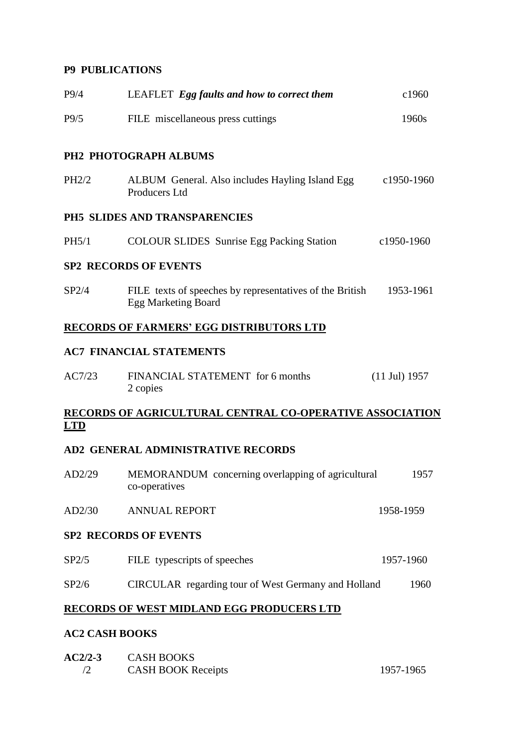## **P9 PUBLICATIONS**

| P9/4       | LEAFLET Egg faults and how to correct them                                             | c1960                   |
|------------|----------------------------------------------------------------------------------------|-------------------------|
| P9/5       | FILE miscellaneous press cuttings                                                      | 1960s                   |
|            | PH2 PHOTOGRAPH ALBUMS                                                                  |                         |
| PH2/2      | ALBUM General. Also includes Hayling Island Egg<br><b>Producers Ltd</b>                | c1950-1960              |
|            | PH5 SLIDES AND TRANSPARENCIES                                                          |                         |
| PH5/1      | <b>COLOUR SLIDES</b> Sunrise Egg Packing Station                                       | c1950-1960              |
|            | <b>SP2 RECORDS OF EVENTS</b>                                                           |                         |
| SP2/4      | FILE texts of speeches by representatives of the British<br><b>Egg Marketing Board</b> | 1953-1961               |
|            | <u>RECORDS OF FARMERS' EGG DISTRIBUTORS LTD</u>                                        |                         |
|            | <b>AC7 FINANCIAL STATEMENTS</b>                                                        |                         |
| AC7/23     | FINANCIAL STATEMENT for 6 months<br>2 copies                                           | $(11 \text{ Jul})$ 1957 |
|            | RECORDS OF AGRICULTURAL CENTRAL CO-OPERATIVE ASSOCIATION                               |                         |
| <u>LTD</u> |                                                                                        |                         |
|            | AD2 GENERAL ADMINISTRATIVE RECORDS                                                     |                         |
| AD2/29     | MEMORANDUM concerning overlapping of agricultural<br>co-operatives                     | 1957                    |
| AD2/30     | <b>ANNUAL REPORT</b>                                                                   | 1958-1959               |
|            | <b>SP2 RECORDS OF EVENTS</b>                                                           |                         |
| SP2/5      | FILE typescripts of speeches                                                           | 1957-1960               |
| SP2/6      | CIRCULAR regarding tour of West Germany and Holland                                    | 1960                    |
|            | <u>RECORDS OF WEST MIDLAND EGG PRODUCERS LTD</u>                                       |                         |
|            |                                                                                        |                         |

#### **AC2 CASH BOOKS**

| $AC2/2-3$ | <b>CASH BOOKS</b>         |           |
|-----------|---------------------------|-----------|
|           | <b>CASH BOOK Receipts</b> | 1957-1965 |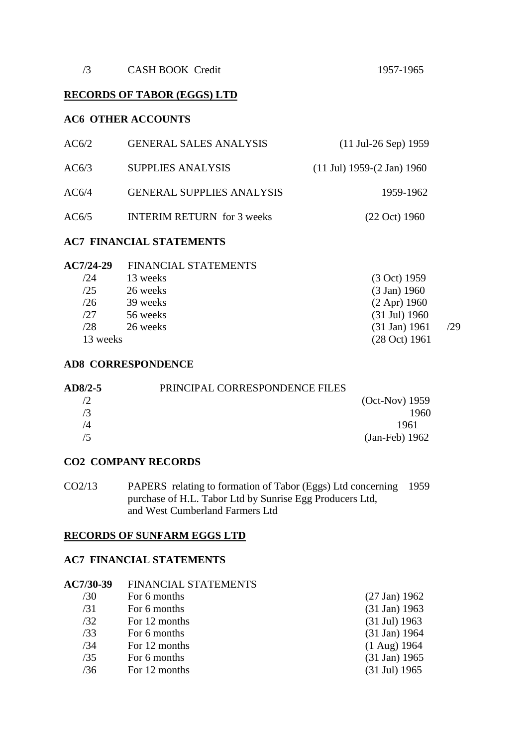#### **RECORDS OF TABOR (EGGS) LTD**

#### **AC6 OTHER ACCOUNTS**

| AC6/2 | <b>GENERAL SALES ANALYSIS</b>     | $(11 \text{ Jul-}26 \text{ Sep})$ 1959          |
|-------|-----------------------------------|-------------------------------------------------|
| AC6/3 | <b>SUPPLIES ANALYSIS</b>          | $(11 \text{ Jul})$ 1959- $(2 \text{ Jan})$ 1960 |
| AC6/4 | <b>GENERAL SUPPLIES ANALYSIS</b>  | 1959-1962                                       |
| AC6/5 | <b>INTERIM RETURN</b> for 3 weeks | $(22 \text{ Oct}) 1960$                         |

#### **AC7 FINANCIAL STATEMENTS**

| <b>AC7/24-29</b> | <b>FINANCIAL STATEMENTS</b> |                         |     |
|------------------|-----------------------------|-------------------------|-----|
| /24              | 13 weeks                    | (3 Oct) 1959            |     |
| /25              | 26 weeks                    | $(3 \text{ Jan}) 1960$  |     |
| /26              | 39 weeks                    | $(2$ Apr) 1960          |     |
| /27              | 56 weeks                    | $(31 \text{ Jul})$ 1960 |     |
| /28              | 26 weeks                    | $(31 \text{ Jan}) 1961$ | /29 |
| 13 weeks         |                             | (28 Oct) 1961           |     |

#### **AD8 CORRESPONDENCE**

| $AD8/2-5$ | PRINCIPAL CORRESPONDENCE FILES |                  |
|-----------|--------------------------------|------------------|
|           |                                | $(Oct-Nov)$ 1959 |
| 73        |                                | 1960             |
| /4        |                                | 1961             |
| /5        |                                | $(Jan-Feb)$ 1962 |

#### **CO2 COMPANY RECORDS**

CO2/13 PAPERS relating to formation of Tabor (Eggs) Ltd concerning 1959 purchase of H.L. Tabor Ltd by Sunrise Egg Producers Ltd, and West Cumberland Farmers Ltd

#### **RECORDS OF SUNFARM EGGS LTD**

## **AC7 FINANCIAL STATEMENTS**

| AC7/30-39 | FINANCIAL STATEMENTS |                         |
|-----------|----------------------|-------------------------|
| /30       | For 6 months         | $(27 \text{ Jan})$ 1962 |
| /31       | For 6 months         | $(31 \text{ Jan})$ 1963 |
| /32       | For 12 months        | $(31 \text{ Jul})$ 1963 |
| /33       | For 6 months         | $(31 \text{ Jan})$ 1964 |
| /34       | For 12 months        | $(1$ Aug) 1964          |
| /35       | For 6 months         | $(31 \text{ Jan})$ 1965 |
| /36       | For 12 months        | $(31 \text{ Jul})$ 1965 |
|           |                      |                         |